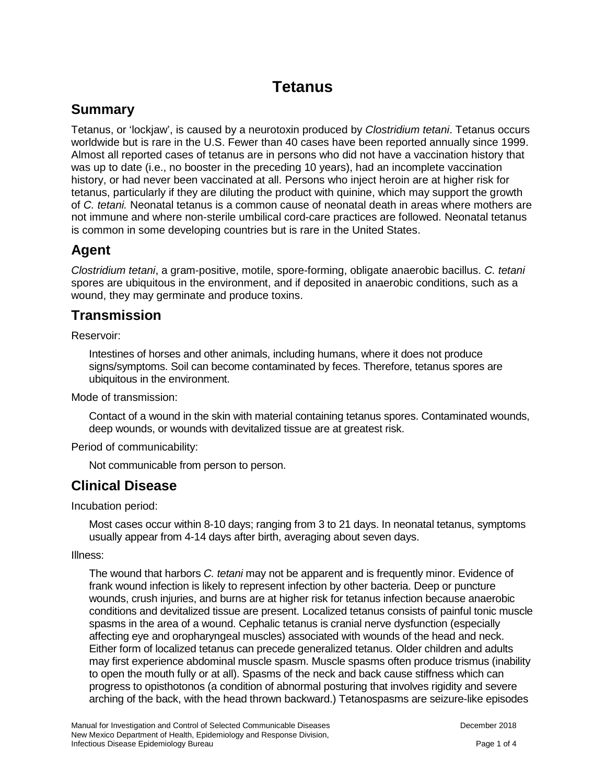# **Tetanus**

# **Summary**

Tetanus, or 'lockjaw', is caused by a neurotoxin produced by *Clostridium tetani*. Tetanus occurs worldwide but is rare in the U.S. Fewer than 40 cases have been reported annually since 1999. Almost all reported cases of tetanus are in persons who did not have a vaccination history that was up to date (i.e., no booster in the preceding 10 years), had an incomplete vaccination history, or had never been vaccinated at all. Persons who inject heroin are at higher risk for tetanus, particularly if they are diluting the product with quinine, which may support the growth of *C. tetani.* Neonatal tetanus is a common cause of neonatal death in areas where mothers are not immune and where non-sterile umbilical cord-care practices are followed. Neonatal tetanus is common in some developing countries but is rare in the United States.

#### **Agent**

*Clostridium tetani*, a gram-positive, motile, spore-forming, obligate anaerobic bacillus. *C. tetani* spores are ubiquitous in the environment, and if deposited in anaerobic conditions, such as a wound, they may germinate and produce toxins.

# **Transmission**

Reservoir:

Intestines of horses and other animals, including humans, where it does not produce signs/symptoms. Soil can become contaminated by feces. Therefore, tetanus spores are ubiquitous in the environment.

Mode of transmission:

Contact of a wound in the skin with material containing tetanus spores. Contaminated wounds, deep wounds, or wounds with devitalized tissue are at greatest risk.

Period of communicability:

Not communicable from person to person.

#### **Clinical Disease**

Incubation period:

Most cases occur within 8-10 days; ranging from 3 to 21 days. In neonatal tetanus, symptoms usually appear from 4-14 days after birth, averaging about seven days.

Illness:

The wound that harbors *C. tetani* may not be apparent and is frequently minor. Evidence of frank wound infection is likely to represent infection by other bacteria. Deep or puncture wounds, crush injuries, and burns are at higher risk for tetanus infection because anaerobic conditions and devitalized tissue are present. Localized tetanus consists of painful tonic muscle spasms in the area of a wound. Cephalic tetanus is cranial nerve dysfunction (especially affecting eye and oropharyngeal muscles) associated with wounds of the head and neck. Either form of localized tetanus can precede generalized tetanus. Older children and adults may first experience abdominal muscle spasm. Muscle spasms often produce trismus (inability to open the mouth fully or at all). Spasms of the neck and back cause stiffness which can progress to opisthotonos (a condition of abnormal posturing that involves rigidity and severe arching of the back, with the head thrown backward.) Tetanospasms are seizure-like episodes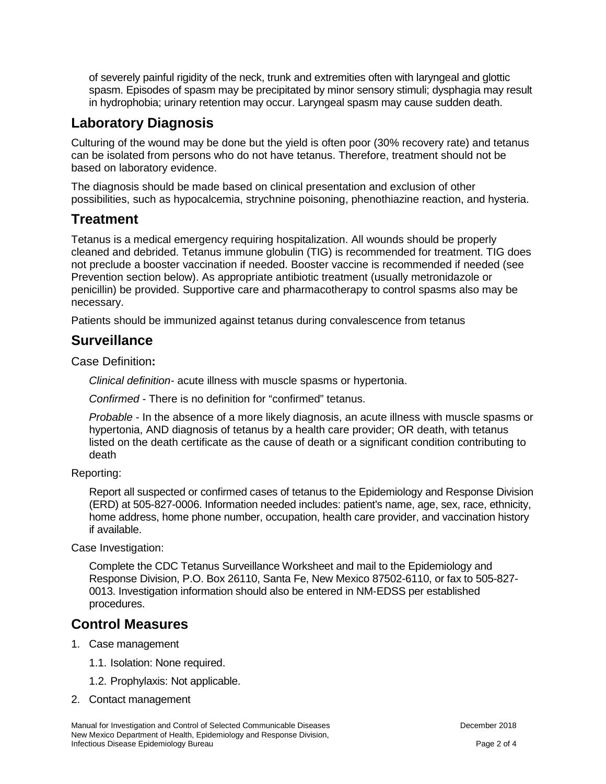of severely painful rigidity of the neck, trunk and extremities often with laryngeal and glottic spasm. Episodes of spasm may be precipitated by minor sensory stimuli; dysphagia may result in hydrophobia; urinary retention may occur. Laryngeal spasm may cause sudden death.

### **Laboratory Diagnosis**

Culturing of the wound may be done but the yield is often poor (30% recovery rate) and tetanus can be isolated from persons who do not have tetanus. Therefore, treatment should not be based on laboratory evidence.

The diagnosis should be made based on clinical presentation and exclusion of other possibilities, such as hypocalcemia, strychnine poisoning, phenothiazine reaction, and hysteria.

#### **Treatment**

Tetanus is a medical emergency requiring hospitalization. All wounds should be properly cleaned and debrided. Tetanus immune globulin (TIG) is recommended for treatment. TIG does not preclude a booster vaccination if needed. Booster vaccine is recommended if needed (see Prevention section below). As appropriate antibiotic treatment (usually metronidazole or penicillin) be provided. Supportive care and pharmacotherapy to control spasms also may be necessary.

Patients should be immunized against tetanus during convalescence from tetanus

#### **Surveillance**

Case Definition**:**

*Clinical definition-* acute illness with muscle spasms or hypertonia.

*Confirmed* - There is no definition for "confirmed" tetanus.

*Probable* - In the absence of a more likely diagnosis, an acute illness with muscle spasms or hypertonia, AND diagnosis of tetanus by a health care provider; OR death, with tetanus listed on the death certificate as the cause of death or a significant condition contributing to death

Reporting:

Report all suspected or confirmed cases of tetanus to the Epidemiology and Response Division (ERD) at 505-827-0006. Information needed includes: patient's name, age, sex, race, ethnicity, home address, home phone number, occupation, health care provider, and vaccination history if available.

Case Investigation:

Complete the CDC Tetanus Surveillance Worksheet and mail to the Epidemiology and Response Division, P.O. Box 26110, Santa Fe, New Mexico 87502-6110, or fax to 505-827- 0013. Investigation information should also be entered in NM-EDSS per established procedures.

#### **Control Measures**

- 1. Case management
	- 1.1. Isolation: None required.
	- 1.2. Prophylaxis: Not applicable.
- 2. Contact management

Manual for Investigation and Control of Selected Communicable Diseases **December 2018** December 2018 New Mexico Department of Health, Epidemiology and Response Division, Infectious Disease Epidemiology Bureau **Page 2 of 4** and 2 of 4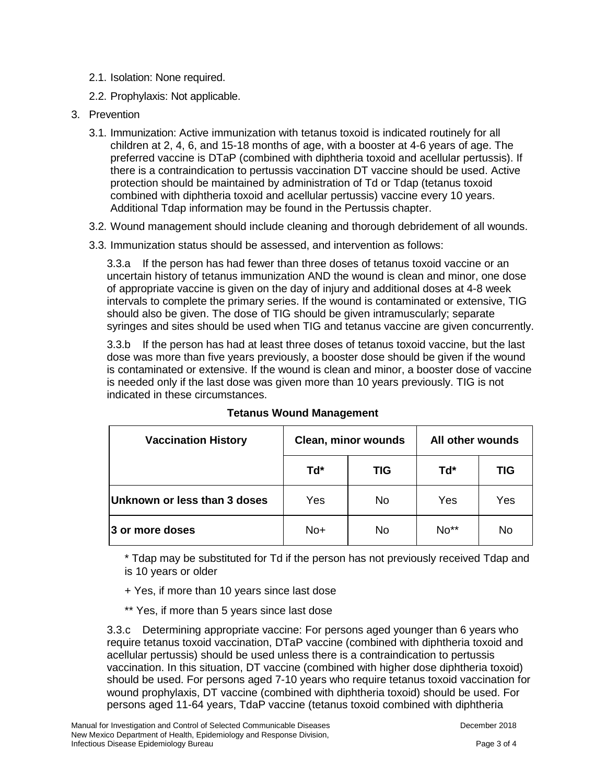- 2.1. Isolation: None required.
- 2.2. Prophylaxis: Not applicable.
- 3. Prevention
	- 3.1. Immunization: Active immunization with tetanus toxoid is indicated routinely for all children at 2, 4, 6, and 15-18 months of age, with a booster at 4-6 years of age. The preferred vaccine is DTaP (combined with diphtheria toxoid and acellular pertussis). If there is a contraindication to pertussis vaccination DT vaccine should be used. Active protection should be maintained by administration of Td or Tdap (tetanus toxoid combined with diphtheria toxoid and acellular pertussis) vaccine every 10 years. Additional Tdap information may be found in the Pertussis chapter.
	- 3.2. Wound management should include cleaning and thorough debridement of all wounds.
	- 3.3. Immunization status should be assessed, and intervention as follows:

3.3.a If the person has had fewer than three doses of tetanus toxoid vaccine or an uncertain history of tetanus immunization AND the wound is clean and minor, one dose of appropriate vaccine is given on the day of injury and additional doses at 4-8 week intervals to complete the primary series. If the wound is contaminated or extensive, TIG should also be given. The dose of TIG should be given intramuscularly; separate syringes and sites should be used when TIG and tetanus vaccine are given concurrently.

3.3.b If the person has had at least three doses of tetanus toxoid vaccine, but the last dose was more than five years previously, a booster dose should be given if the wound is contaminated or extensive. If the wound is clean and minor, a booster dose of vaccine is needed only if the last dose was given more than 10 years previously. TIG is not indicated in these circumstances.

| <b>Vaccination History</b>   | <b>Clean, minor wounds</b> |            | All other wounds |            |
|------------------------------|----------------------------|------------|------------------|------------|
|                              | Td*                        | <b>TIG</b> | Td*              | <b>TIG</b> |
| Unknown or less than 3 doses | Yes                        | No.        | Yes              | Yes        |
| 3 or more doses              | $No+$                      | No         | $No**$           | No         |

#### **Tetanus Wound Management**

\* Tdap may be substituted for Td if the person has not previously received Tdap and is 10 years or older

- + Yes, if more than 10 years since last dose
- \*\* Yes, if more than 5 years since last dose

3.3.c Determining appropriate vaccine: For persons aged younger than 6 years who require tetanus toxoid vaccination, DTaP vaccine (combined with diphtheria toxoid and acellular pertussis) should be used unless there is a contraindication to pertussis vaccination. In this situation, DT vaccine (combined with higher dose diphtheria toxoid) should be used. For persons aged 7-10 years who require tetanus toxoid vaccination for wound prophylaxis, DT vaccine (combined with diphtheria toxoid) should be used. For persons aged 11-64 years, TdaP vaccine (tetanus toxoid combined with diphtheria